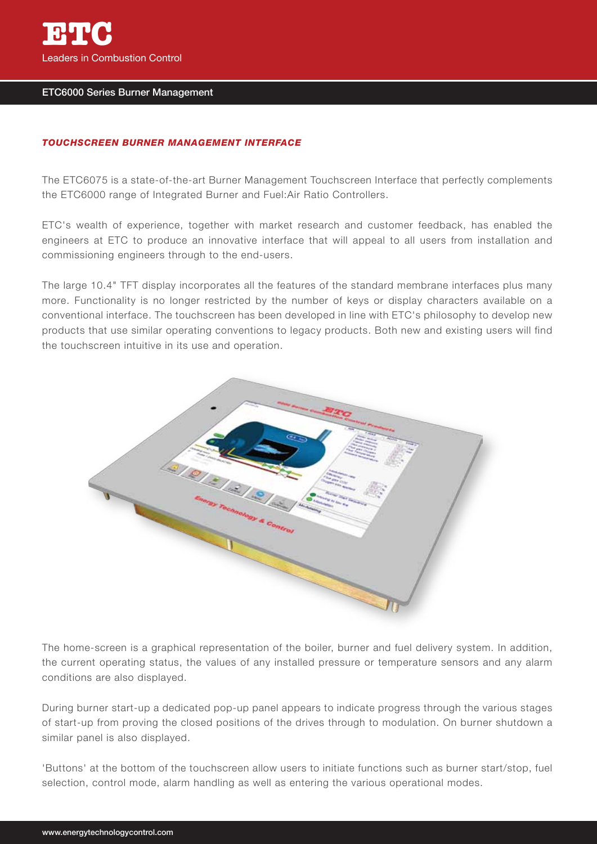

## ETC6000 Series Burner Management

## *TOUCHSCREEN BURNER MANAGEMENT INTERFACE*

The ETC6075 is a state-of-the-art Burner Management Touchscreen Interface that perfectly complements the ETC6000 range of Integrated Burner and Fuel:Air Ratio Controllers.

ETC's wealth of experience, together with market research and customer feedback, has enabled the engineers at ETC to produce an innovative interface that will appeal to all users from installation and commissioning engineers through to the end-users.

The large 10.4" TFT display incorporates all the features of the standard membrane interfaces plus many more. Functionality is no longer restricted by the number of keys or display characters available on a conventional interface. The touchscreen has been developed in line with ETC's philosophy to develop new products that use similar operating conventions to legacy products. Both new and existing users will find the touchscreen intuitive in its use and operation.



The home-screen is a graphical representation of the boiler, burner and fuel delivery system. In addition, the current operating status, the values of any installed pressure or temperature sensors and any alarm conditions are also displayed.

During burner start-up a dedicated pop-up panel appears to indicate progress through the various stages of start-up from proving the closed positions of the drives through to modulation. On burner shutdown a similar panel is also displayed.

'Buttons' at the bottom of the touchscreen allow users to initiate functions such as burner start/stop, fuel selection, control mode, alarm handling as well as entering the various operational modes.